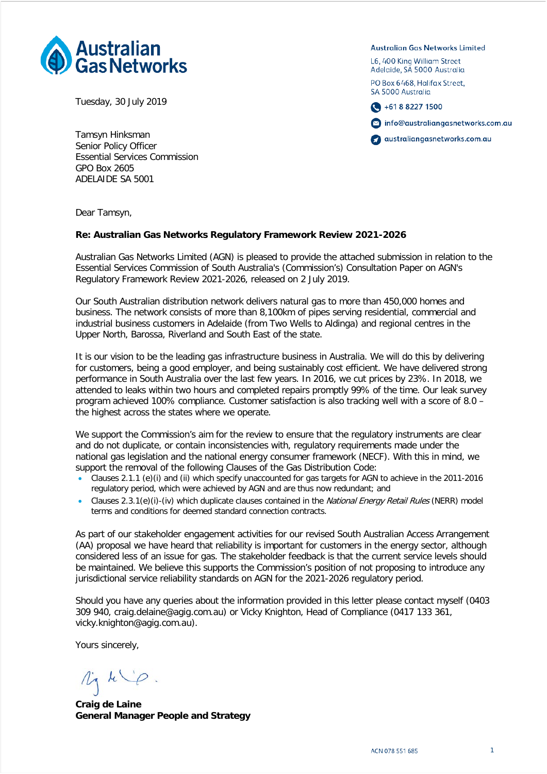

Tuesday, 30 July 2019

Tamsyn Hinksman Senior Policy Officer Essential Services Commission GPO Box 2605 ADELAIDE SA 5001

Dear Tamsyn,

#### **Re: Australian Gas Networks Regulatory Framework Review 2021-2026**

Australian Gas Networks Limited (AGN) is pleased to provide the attached submission in relation to the Essential Services Commission of South Australia's (Commission's) Consultation Paper on AGN's Regulatory Framework Review 2021-2026, released on 2 July 2019.

Our South Australian distribution network delivers natural gas to more than 450,000 homes and business. The network consists of more than 8,100km of pipes serving residential, commercial and industrial business customers in Adelaide (from Two Wells to Aldinga) and regional centres in the Upper North, Barossa, Riverland and South East of the state.

It is our vision to be the leading gas infrastructure business in Australia. We will do this by delivering for customers, being a good employer, and being sustainably cost efficient. We have delivered strong performance in South Australia over the last few years. In 2016, we cut prices by 23%. In 2018, we attended to leaks within two hours and completed repairs promptly 99% of the time. Our leak survey program achieved 100% compliance. Customer satisfaction is also tracking well with a score of 8.0 – the highest across the states where we operate.

We support the Commission's aim for the review to ensure that the regulatory instruments are clear and do not duplicate, or contain inconsistencies with, regulatory requirements made under the national gas legislation and the national energy consumer framework (NECF). With this in mind, we support the removal of the following Clauses of the Gas Distribution Code:

- Clauses 2.1.1 (e)(i) and (ii) which specify unaccounted for gas targets for AGN to achieve in the 2011-2016 regulatory period, which were achieved by AGN and are thus now redundant; and
- Clauses 2.3.1(e)(i)-(iv) which duplicate clauses contained in the National Energy Retail Rules (NERR) model terms and conditions for deemed standard connection contracts.

As part of our stakeholder engagement activities for our revised South Australian Access Arrangement (AA) proposal we have heard that reliability is important for customers in the energy sector, although considered less of an issue for gas. The stakeholder feedback is that the current service levels should be maintained. We believe this supports the Commission's position of not proposing to introduce any jurisdictional service reliability standards on AGN for the 2021-2026 regulatory period.

Should you have any queries about the information provided in this letter please contact myself (0403 309 940, craig.delaine@agig.com.au) or Vicky Knighton, Head of Compliance (0417 133 361, vicky.knighton@agig.com.au).

Yours sincerely,

 $1/44$ 

**Craig de Laine General Manager People and Strategy**

**Australian Gas Networks Limited** 

L6, 400 King William Street Adelaide, SA 5000 Australia

PO Box 6468, Halifax Street. SA 5000 Australia





australiangasnetworks.com.au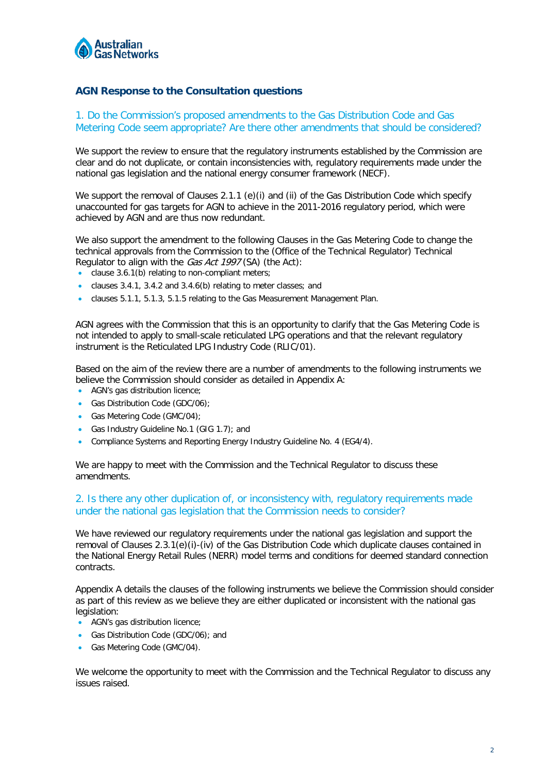

## **AGN Response to the Consultation questions**

1. Do the Commission's proposed amendments to the Gas Distribution Code and Gas Metering Code seem appropriate? Are there other amendments that should be considered?

We support the review to ensure that the regulatory instruments established by the Commission are clear and do not duplicate, or contain inconsistencies with, regulatory requirements made under the national gas legislation and the national energy consumer framework (NECF).

We support the removal of Clauses 2.1.1 (e)(i) and (ii) of the Gas Distribution Code which specify unaccounted for gas targets for AGN to achieve in the 2011-2016 regulatory period, which were achieved by AGN and are thus now redundant.

We also support the amendment to the following Clauses in the Gas Metering Code to change the technical approvals from the Commission to the (Office of the Technical Regulator) Technical Regulator to align with the Gas Act 1997 (SA) (the Act):

- clause 3.6.1(b) relating to non-compliant meters;
- clauses 3.4.1, 3.4.2 and 3.4.6(b) relating to meter classes; and
- clauses 5.1.1, 5.1.3, 5.1.5 relating to the Gas Measurement Management Plan.

AGN agrees with the Commission that this is an opportunity to clarify that the Gas Metering Code is not intended to apply to small-scale reticulated LPG operations and that the relevant regulatory instrument is the Reticulated LPG Industry Code (RLIC/01).

Based on the aim of the review there are a number of amendments to the following instruments we believe the Commission should consider as detailed in Appendix A:

- AGN's gas distribution licence;
- Gas Distribution Code (GDC/06);
- Gas Metering Code (GMC/04);
- Gas Industry Guideline No.1 (GIG 1.7); and
- Compliance Systems and Reporting Energy Industry Guideline No. 4 (EG4/4).

We are happy to meet with the Commission and the Technical Regulator to discuss these amendments.

#### 2. Is there any other duplication of, or inconsistency with, regulatory requirements made under the national gas legislation that the Commission needs to consider?

We have reviewed our regulatory reguirements under the national gas legislation and support the removal of Clauses 2.3.1(e)(i)-(iv) of the Gas Distribution Code which duplicate clauses contained in the National Energy Retail Rules (NERR) model terms and conditions for deemed standard connection contracts.

Appendix A details the clauses of the following instruments we believe the Commission should consider as part of this review as we believe they are either duplicated or inconsistent with the national gas legislation:

- AGN's gas distribution licence;
- Gas Distribution Code (GDC/06); and
- Gas Metering Code (GMC/04).

We welcome the opportunity to meet with the Commission and the Technical Regulator to discuss any issues raised.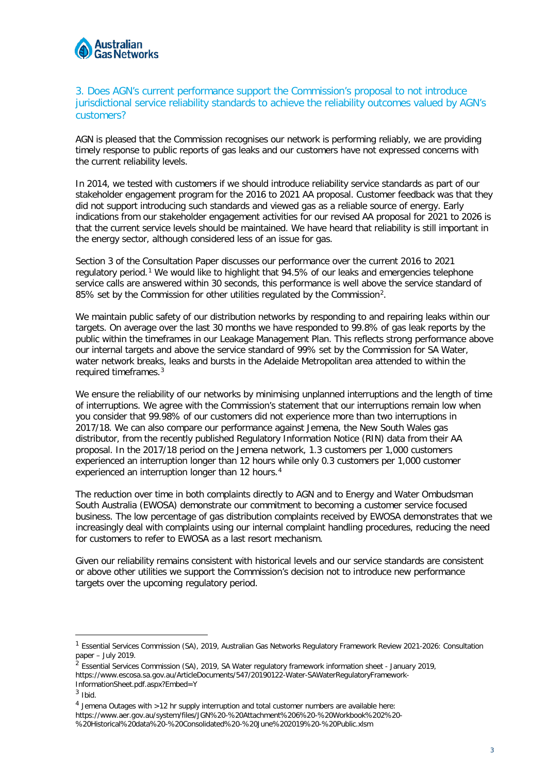

#### 3. Does AGN's current performance support the Commission's proposal to not introduce jurisdictional service reliability standards to achieve the reliability outcomes valued by AGN's customers?

AGN is pleased that the Commission recognises our network is performing reliably, we are providing timely response to public reports of gas leaks and our customers have not expressed concerns with the current reliability levels.

In 2014, we tested with customers if we should introduce reliability service standards as part of our stakeholder engagement program for the 2016 to 2021 AA proposal. Customer feedback was that they did not support introducing such standards and viewed gas as a reliable source of energy. Early indications from our stakeholder engagement activities for our revised AA proposal for 2021 to 2026 is that the current service levels should be maintained. We have heard that reliability is still important in the energy sector, although considered less of an issue for gas.

Section 3 of the Consultation Paper discusses our performance over the current 2016 to 2021 regulatory period.[1](#page-2-0) We would like to highlight that 94.5% of our leaks and emergencies telephone service calls are answered within 30 seconds, this performance is well above the service standard of 85% set by the Commission for other utilities regulated by the Commission<sup>[2](#page-2-1)</sup>.

We maintain public safety of our distribution networks by responding to and repairing leaks within our targets. On average over the last 30 months we have responded to 99.8% of gas leak reports by the public within the timeframes in our Leakage Management Plan. This reflects strong performance above our internal targets and above the service standard of 99% set by the Commission for SA Water, water network breaks, leaks and bursts in the Adelaide Metropolitan area attended to within the required timeframes.[3](#page-2-2)

We ensure the reliability of our networks by minimising unplanned interruptions and the length of time of interruptions. We agree with the Commission's statement that our interruptions remain low when you consider that 99.98% of our customers did not experience more than two interruptions in 2017/18. We can also compare our performance against Jemena, the New South Wales gas distributor, from the recently published Regulatory Information Notice (RIN) data from their AA proposal. In the 2017/18 period on the Jemena network, 1.3 customers per 1,000 customers experienced an interruption longer than 12 hours while only 0.3 customers per 1,000 customer experienced an interruption longer than 12 hours.<sup>[4](#page-2-3)</sup>

The reduction over time in both complaints directly to AGN and to Energy and Water Ombudsman South Australia (EWOSA) demonstrate our commitment to becoming a customer service focused business. The low percentage of gas distribution complaints received by EWOSA demonstrates that we increasingly deal with complaints using our internal complaint handling procedures, reducing the need for customers to refer to EWOSA as a last resort mechanism.

Given our reliability remains consistent with historical levels and our service standards are consistent or above other utilities we support the Commission's decision not to introduce new performance targets over the upcoming regulatory period.

<span id="page-2-0"></span><sup>&</sup>lt;sup>1</sup> Essential Services Commission (SA), 2019, Australian Gas Networks Regulatory Framework Review 2021-2026: Consultation paper – July 2019.

<span id="page-2-1"></span><sup>&</sup>lt;sup>2</sup> Essential Services Commission (SA), 2019, SA Water regulatory framework information sheet - January 2019, https://www.escosa.sa.gov.au/ArticleDocuments/547/20190122-Water-SAWaterRegulatoryFramework-InformationSheet.pdf.aspx?Embed=Y

<span id="page-2-2"></span> $3$  Ibid.

<span id="page-2-3"></span><sup>4</sup> Jemena Outages with >12 hr supply interruption and total customer numbers are available here:

https://www.aer.gov.au/system/files/JGN%20-%20Attachment%206%20-%20Workbook%202%20-

<sup>%20</sup>Historical%20data%20-%20Consolidated%20-%20June%202019%20-%20Public.xlsm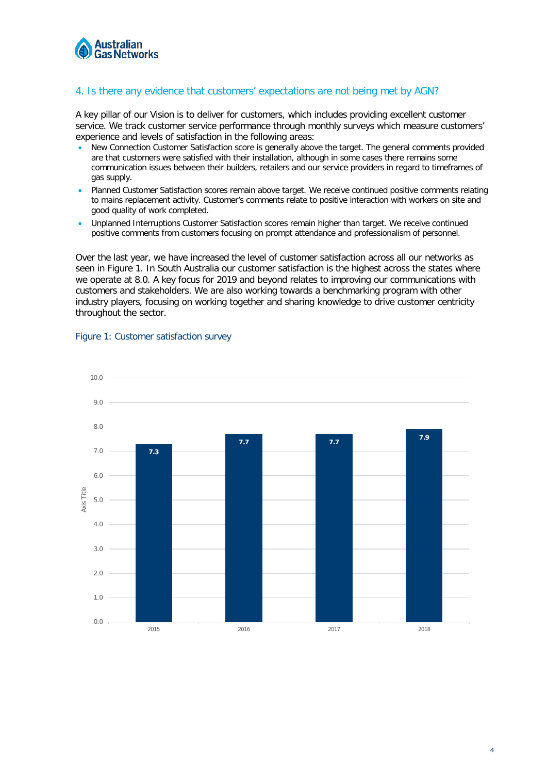

### 4. Is there any evidence that customers' expectations are not being met by AGN?

A key pillar of our Vision is to deliver for customers, which includes providing excellent customer service. We track customer service performance through monthly surveys which measure customers' experience and levels of satisfaction in the following areas:

- New Connection Customer Satisfaction score is generally above the target. The general comments provided are that customers were satisfied with their installation, although in some cases there remains some communication issues between their builders, retailers and our service providers in regard to timeframes of gas supply.
- Planned Customer Satisfaction scores remain above target. We receive continued positive comments relating to mains replacement activity. Customer's comments relate to positive interaction with workers on site and good quality of work completed.
- Unplanned Interruptions Customer Satisfaction scores remain higher than target. We receive continued positive comments from customers focusing on prompt attendance and professionalism of personnel.

Over the last year, we have increased the level of customer satisfaction across all our networks as seen in Figure 1. In South Australia our customer satisfaction is the highest across the states where we operate at 8.0. A key focus for 2019 and beyond relates to improving our communications with customers and stakeholders. We are also working towards a benchmarking program with other industry players, focusing on working together and sharing knowledge to drive customer centricity throughout the sector.



#### Figure 1: Customer satisfaction survey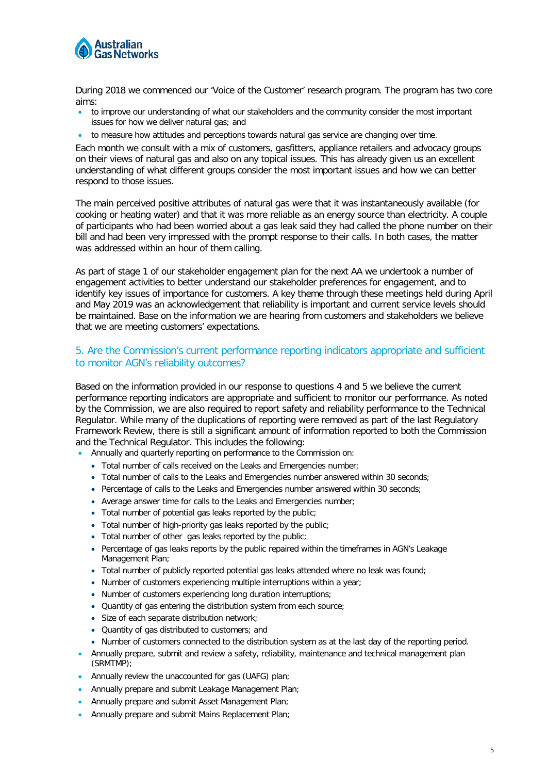

During 2018 we commenced our 'Voice of the Customer' research program. The program has two core aims:

- to improve our understanding of what our stakeholders and the community consider the most important issues for how we deliver natural gas; and
- to measure how attitudes and perceptions towards natural gas service are changing over time.

Each month we consult with a mix of customers, gasfitters, appliance retailers and advocacy groups on their views of natural gas and also on any topical issues. This has already given us an excellent understanding of what different groups consider the most important issues and how we can better respond to those issues.

The main perceived positive attributes of natural gas were that it was instantaneously available (for cooking or heating water) and that it was more reliable as an energy source than electricity. A couple of participants who had been worried about a gas leak said they had called the phone number on their bill and had been very impressed with the prompt response to their calls. In both cases, the matter was addressed within an hour of them calling.

As part of stage 1 of our stakeholder engagement plan for the next AA we undertook a number of engagement activities to better understand our stakeholder preferences for engagement, and to identify key issues of importance for customers. A key theme through these meetings held during April and May 2019 was an acknowledgement that reliability is important and current service levels should be maintained. Base on the information we are hearing from customers and stakeholders we believe that we are meeting customers' expectations.

#### 5. Are the Commission's current performance reporting indicators appropriate and sufficient to monitor AGN's reliability outcomes?

Based on the information provided in our response to questions 4 and 5 we believe the current performance reporting indicators are appropriate and sufficient to monitor our performance. As noted by the Commission, we are also required to report safety and reliability performance to the Technical Regulator. While many of the duplications of reporting were removed as part of the last Regulatory Framework Review, there is still a significant amount of information reported to both the Commission and the Technical Regulator. This includes the following:

- Annually and quarterly reporting on performance to the Commission on:
	- Total number of calls received on the Leaks and Emergencies number;
	- Total number of calls to the Leaks and Emergencies number answered within 30 seconds;
	- Percentage of calls to the Leaks and Emergencies number answered within 30 seconds;
	- Average answer time for calls to the Leaks and Emergencies number;
	- Total number of potential gas leaks reported by the public;
	- Total number of high-priority gas leaks reported by the public;
	- Total number of other gas leaks reported by the public;
	- Percentage of gas leaks reports by the public repaired within the timeframes in AGN's Leakage Management Plan;
	- Total number of publicly reported potential gas leaks attended where no leak was found;
	- Number of customers experiencing multiple interruptions within a year;
	- Number of customers experiencing long duration interruptions;
	- Quantity of gas entering the distribution system from each source;
	- Size of each separate distribution network;
	- Quantity of gas distributed to customers; and
	- Number of customers connected to the distribution system as at the last day of the reporting period.
- Annually prepare, submit and review a safety, reliability, maintenance and technical management plan (SRMTMP);
- Annually review the unaccounted for gas (UAFG) plan;
- Annually prepare and submit Leakage Management Plan;
- Annually prepare and submit Asset Management Plan;
- Annually prepare and submit Mains Replacement Plan;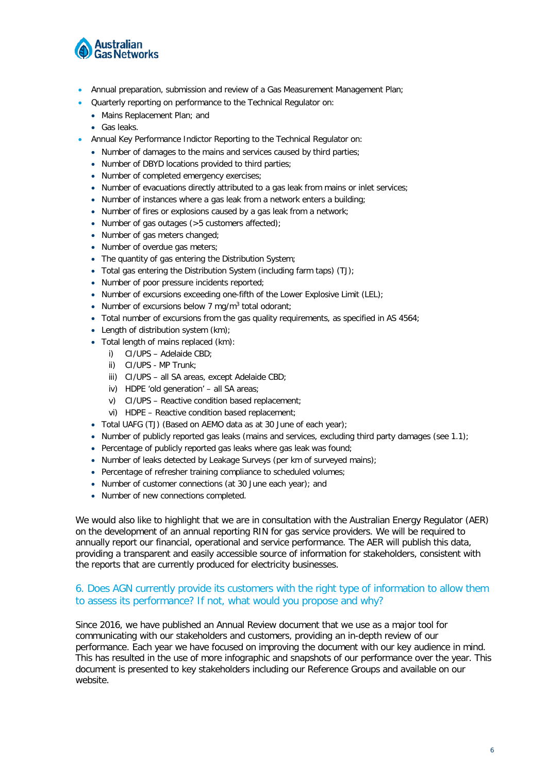

- Annual preparation, submission and review of a Gas Measurement Management Plan;
- Quarterly reporting on performance to the Technical Regulator on:
	- Mains Replacement Plan; and
- Gas leaks.
- Annual Key Performance Indictor Reporting to the Technical Regulator on:
	- Number of damages to the mains and services caused by third parties;
	- Number of DBYD locations provided to third parties;
	- Number of completed emergency exercises;
	- Number of evacuations directly attributed to a gas leak from mains or inlet services;
	- Number of instances where a gas leak from a network enters a building;
	- Number of fires or explosions caused by a gas leak from a network;
	- Number of gas outages (>5 customers affected);
	- Number of gas meters changed;
	- Number of overdue gas meters;
	- The quantity of gas entering the Distribution System;
	- Total gas entering the Distribution System (including farm taps)  $(TJ)$ ;
	- Number of poor pressure incidents reported;
	- Number of excursions exceeding one-fifth of the Lower Explosive Limit (LEL):
	- Number of excursions below 7 mg/m<sup>3</sup> total odorant;
	- Total number of excursions from the gas quality requirements, as specified in AS 4564;
	- Length of distribution system (km);
	- Total length of mains replaced (km):
		- i) CI/UPS Adelaide CBD;
		- ii) CI/UPS MP Trunk;
		- iii) CI/UPS all SA areas, except Adelaide CBD;
		- iv) HDPE 'old generation' all SA areas;
		- v) CI/UPS Reactive condition based replacement;
		- vi) HDPE Reactive condition based replacement;
	- Total UAFG (TJ) (Based on AEMO data as at 30 June of each year);
	- Number of publicly reported gas leaks (mains and services, excluding third party damages (see 1.1);
	- Percentage of publicly reported gas leaks where gas leak was found;
	- Number of leaks detected by Leakage Surveys (per km of surveyed mains);
	- Percentage of refresher training compliance to scheduled volumes:
	- Number of customer connections (at 30 June each year); and
	- Number of new connections completed.

We would also like to highlight that we are in consultation with the Australian Energy Regulator (AER) on the development of an annual reporting RIN for gas service providers. We will be required to annually report our financial, operational and service performance. The AER will publish this data, providing a transparent and easily accessible source of information for stakeholders, consistent with the reports that are currently produced for electricity businesses.

### 6. Does AGN currently provide its customers with the right type of information to allow them to assess its performance? If not, what would you propose and why?

Since 2016, we have published an Annual Review document that we use as a major tool for communicating with our stakeholders and customers, providing an in-depth review of our performance. Each year we have focused on improving the document with our key audience in mind. This has resulted in the use of more infographic and snapshots of our performance over the year. This document is presented to key stakeholders including our Reference Groups and available on our website.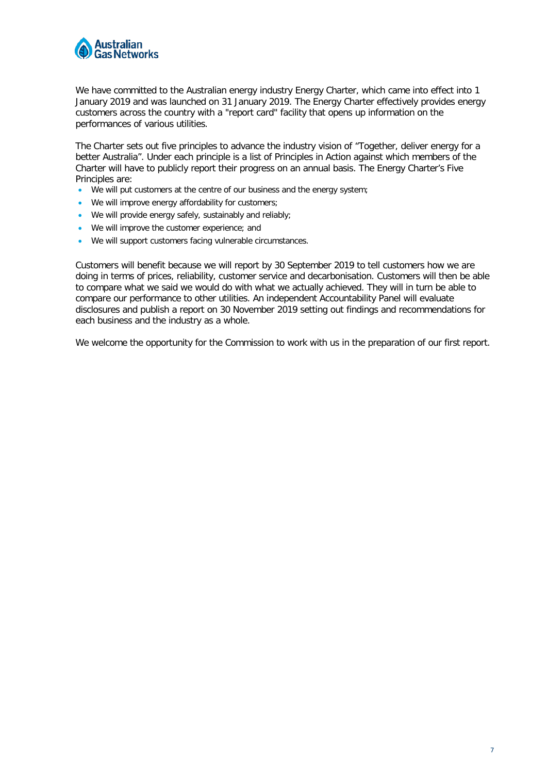

We have committed to the Australian energy industry Energy Charter, which came into effect into 1 January 2019 and was launched on 31 January 2019. The Energy Charter effectively provides energy customers across the country with a "report card" facility that opens up information on the performances of various utilities.

The Charter sets out five principles to advance the industry vision of "Together, deliver energy for a better Australia". Under each principle is a list of Principles in Action against which members of the Charter will have to publicly report their progress on an annual basis. The Energy Charter's Five Principles are:

- We will put customers at the centre of our business and the energy system;
- We will improve energy affordability for customers;
- We will provide energy safely, sustainably and reliably;
- We will improve the customer experience; and
- We will support customers facing vulnerable circumstances.

Customers will benefit because we will report by 30 September 2019 to tell customers how we are doing in terms of prices, reliability, customer service and decarbonisation. Customers will then be able to compare what we said we would do with what we actually achieved. They will in turn be able to compare our performance to other utilities. An independent Accountability Panel will evaluate disclosures and publish a report on 30 November 2019 setting out findings and recommendations for each business and the industry as a whole.

We welcome the opportunity for the Commission to work with us in the preparation of our first report.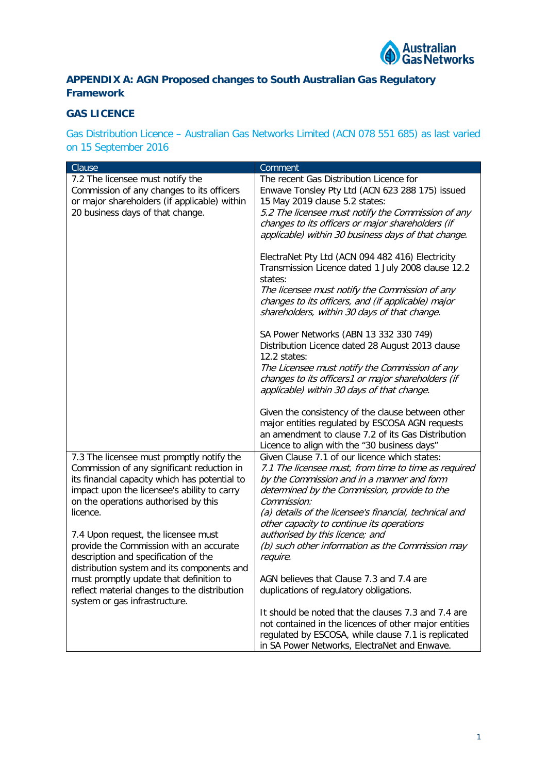

## **APPENDIX A: AGN Proposed changes to South Australian Gas Regulatory Framework**

## **GAS LICENCE**

Gas Distribution Licence – Australian Gas Networks Limited (ACN 078 551 685) as last varied on 15 September 2016

| Clause                                        | Comment                                                |
|-----------------------------------------------|--------------------------------------------------------|
| 7.2 The licensee must notify the              | The recent Gas Distribution Licence for                |
| Commission of any changes to its officers     | Enwave Tonsley Pty Ltd (ACN 623 288 175) issued        |
|                                               |                                                        |
| or major shareholders (if applicable) within  | 15 May 2019 clause 5.2 states:                         |
| 20 business days of that change.              | 5.2 The licensee must notify the Commission of any     |
|                                               | changes to its officers or major shareholders (if      |
|                                               | applicable) within 30 business days of that change.    |
|                                               |                                                        |
|                                               | ElectraNet Pty Ltd (ACN 094 482 416) Electricity       |
|                                               | Transmission Licence dated 1 July 2008 clause 12.2     |
|                                               | states:                                                |
|                                               | The licensee must notify the Commission of any         |
|                                               | changes to its officers, and (if applicable) major     |
|                                               | shareholders, within 30 days of that change.           |
|                                               |                                                        |
|                                               | SA Power Networks (ABN 13 332 330 749)                 |
|                                               | Distribution Licence dated 28 August 2013 clause       |
|                                               | 12.2 states:                                           |
|                                               | The Licensee must notify the Commission of any         |
|                                               | changes to its officers1 or major shareholders (if     |
|                                               | applicable) within 30 days of that change.             |
|                                               |                                                        |
|                                               | Given the consistency of the clause between other      |
|                                               | major entities regulated by ESCOSA AGN requests        |
|                                               | an amendment to clause 7.2 of its Gas Distribution     |
|                                               | Licence to align with the "30 business days"           |
| 7.3 The licensee must promptly notify the     | Given Clause 7.1 of our licence which states:          |
| Commission of any significant reduction in    | 7.1 The licensee must, from time to time as required   |
| its financial capacity which has potential to | by the Commission and in a manner and form             |
| impact upon the licensee's ability to carry   | determined by the Commission, provide to the           |
| on the operations authorised by this          | Commission:                                            |
| licence.                                      | (a) details of the licensee's financial, technical and |
|                                               | other capacity to continue its operations              |
| 7.4 Upon request, the licensee must           | authorised by this licence; and                        |
| provide the Commission with an accurate       | (b) such other information as the Commission may       |
| description and specification of the          | require.                                               |
| distribution system and its components and    |                                                        |
| must promptly update that definition to       | AGN believes that Clause 7.3 and 7.4 are               |
|                                               |                                                        |
| reflect material changes to the distribution  | duplications of regulatory obligations.                |
| system or gas infrastructure.                 | It should be noted that the clauses 7.3 and 7.4 are    |
|                                               |                                                        |
|                                               | not contained in the licences of other major entities  |
|                                               | regulated by ESCOSA, while clause 7.1 is replicated    |
|                                               | in SA Power Networks, ElectraNet and Enwave.           |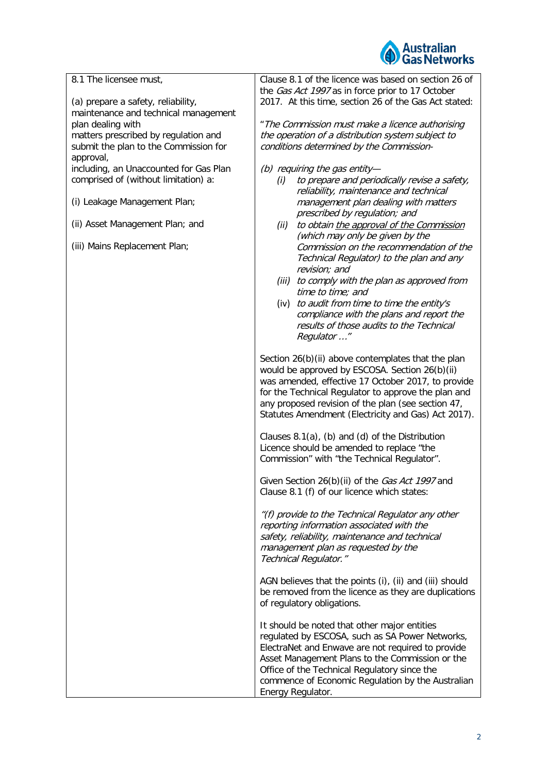

| 8.1 The licensee must,                                                     | Clause 8.1 of the licence was based on section 26 of<br>the Gas Act 1997 as in force prior to 17 October |
|----------------------------------------------------------------------------|----------------------------------------------------------------------------------------------------------|
| (a) prepare a safety, reliability,<br>maintenance and technical management | 2017. At this time, section 26 of the Gas Act stated:                                                    |
|                                                                            |                                                                                                          |
| plan dealing with                                                          | " The Commission must make a licence authorising<br>the operation of a distribution system subject to    |
| matters prescribed by regulation and                                       |                                                                                                          |
| submit the plan to the Commission for                                      | conditions determined by the Commission-                                                                 |
| approval,                                                                  |                                                                                                          |
| including, an Unaccounted for Gas Plan                                     | (b) requiring the gas entity-                                                                            |
| comprised of (without limitation) a:                                       | to prepare and periodically revise a safety,<br>(i)                                                      |
|                                                                            | reliability, maintenance and technical                                                                   |
| (i) Leakage Management Plan;                                               | management plan dealing with matters                                                                     |
|                                                                            | prescribed by regulation; and                                                                            |
| (ii) Asset Management Plan; and                                            | (ii)<br>to obtain the approval of the Commission                                                         |
|                                                                            | (which may only be given by the                                                                          |
| (iii) Mains Replacement Plan;                                              | Commission on the recommendation of the                                                                  |
|                                                                            | Technical Regulator) to the plan and any                                                                 |
|                                                                            | revision; and                                                                                            |
|                                                                            | (iii) to comply with the plan as approved from                                                           |
|                                                                            | time to time; and                                                                                        |
|                                                                            | (iv) to audit from time to time the entity's                                                             |
|                                                                            | compliance with the plans and report the                                                                 |
|                                                                            | results of those audits to the Technical                                                                 |
|                                                                            | Regulator "                                                                                              |
|                                                                            |                                                                                                          |
|                                                                            | Section 26(b)(ii) above contemplates that the plan                                                       |
|                                                                            | would be approved by ESCOSA. Section 26(b)(ii)                                                           |
|                                                                            |                                                                                                          |
|                                                                            | was amended, effective 17 October 2017, to provide                                                       |
|                                                                            | for the Technical Regulator to approve the plan and                                                      |
|                                                                            | any proposed revision of the plan (see section 47,                                                       |
|                                                                            | Statutes Amendment (Electricity and Gas) Act 2017).                                                      |
|                                                                            |                                                                                                          |
|                                                                            | Clauses 8.1(a), (b) and (d) of the Distribution                                                          |
|                                                                            | Licence should be amended to replace "the                                                                |
|                                                                            | Commission" with "the Technical Regulator".                                                              |
|                                                                            |                                                                                                          |
|                                                                            | Given Section 26(b)(ii) of the Gas Act 1997 and                                                          |
|                                                                            | Clause 8.1 (f) of our licence which states:                                                              |
|                                                                            |                                                                                                          |
|                                                                            | "(f) provide to the Technical Regulator any other                                                        |
|                                                                            | reporting information associated with the                                                                |
|                                                                            | safety, reliability, maintenance and technical                                                           |
|                                                                            | management plan as requested by the                                                                      |
|                                                                            | Technical Regulator."                                                                                    |
|                                                                            |                                                                                                          |
|                                                                            | AGN believes that the points (i), (ii) and (iii) should                                                  |
|                                                                            | be removed from the licence as they are duplications                                                     |
|                                                                            | of regulatory obligations.                                                                               |
|                                                                            |                                                                                                          |
|                                                                            | It should be noted that other major entities                                                             |
|                                                                            | regulated by ESCOSA, such as SA Power Networks,                                                          |
|                                                                            | ElectraNet and Enwave are not required to provide                                                        |
|                                                                            | Asset Management Plans to the Commission or the                                                          |
|                                                                            | Office of the Technical Regulatory since the                                                             |
|                                                                            | commence of Economic Regulation by the Australian                                                        |
|                                                                            | Energy Regulator.                                                                                        |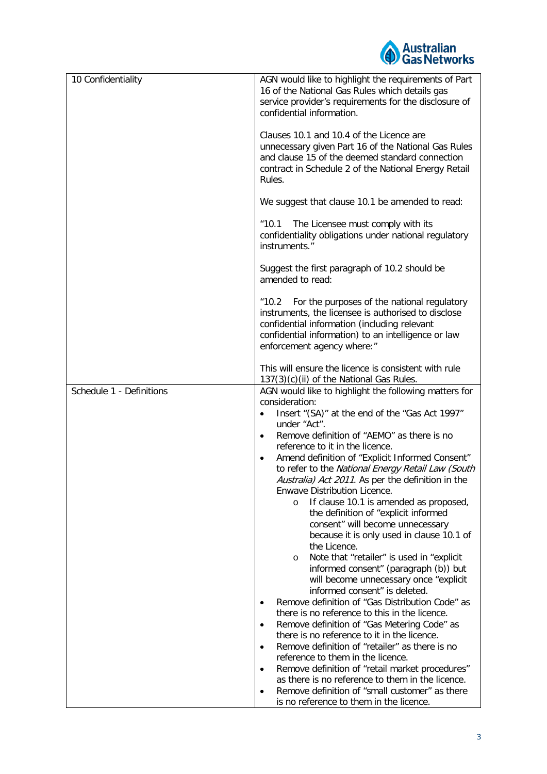

| 10 Confidentiality       | AGN would like to highlight the requirements of Part<br>16 of the National Gas Rules which details gas<br>service provider's requirements for the disclosure of<br>confidential information.                                                                      |
|--------------------------|-------------------------------------------------------------------------------------------------------------------------------------------------------------------------------------------------------------------------------------------------------------------|
|                          | Clauses 10.1 and 10.4 of the Licence are<br>unnecessary given Part 16 of the National Gas Rules<br>and clause 15 of the deemed standard connection<br>contract in Schedule 2 of the National Energy Retail<br>Rules.                                              |
|                          | We suggest that clause 10.1 be amended to read:                                                                                                                                                                                                                   |
|                          | The Licensee must comply with its<br>"10.1"<br>confidentiality obligations under national regulatory<br>instruments."                                                                                                                                             |
|                          | Suggest the first paragraph of 10.2 should be<br>amended to read:                                                                                                                                                                                                 |
|                          | For the purposes of the national regulatory<br>$^{\prime\prime}$ 10.2<br>instruments, the licensee is authorised to disclose<br>confidential information (including relevant<br>confidential information) to an intelligence or law<br>enforcement agency where:" |
|                          | This will ensure the licence is consistent with rule                                                                                                                                                                                                              |
| Schedule 1 - Definitions | 137(3)(c)(ii) of the National Gas Rules.<br>AGN would like to highlight the following matters for                                                                                                                                                                 |
|                          | consideration:                                                                                                                                                                                                                                                    |
|                          | Insert "(SA)" at the end of the "Gas Act 1997"<br>$\bullet$                                                                                                                                                                                                       |
|                          | under "Act".<br>Remove definition of "AEMO" as there is no<br>$\bullet$                                                                                                                                                                                           |
|                          | reference to it in the licence.                                                                                                                                                                                                                                   |
|                          | Amend definition of "Explicit Informed Consent"<br>٠                                                                                                                                                                                                              |
|                          | to refer to the National Energy Retail Law (South<br>Australia) Act 2011. As per the definition in the                                                                                                                                                            |
|                          | Enwave Distribution Licence.                                                                                                                                                                                                                                      |
|                          | If clause 10.1 is amended as proposed,<br>O                                                                                                                                                                                                                       |
|                          | the definition of "explicit informed<br>consent" will become unnecessary                                                                                                                                                                                          |
|                          | because it is only used in clause 10.1 of                                                                                                                                                                                                                         |
|                          | the Licence.<br>Note that "retailer" is used in "explicit                                                                                                                                                                                                         |
|                          | $\circ$<br>informed consent" (paragraph (b)) but                                                                                                                                                                                                                  |
|                          | will become unnecessary once "explicit<br>informed consent" is deleted.                                                                                                                                                                                           |
|                          | Remove definition of "Gas Distribution Code" as<br>$\bullet$                                                                                                                                                                                                      |
|                          | there is no reference to this in the licence.                                                                                                                                                                                                                     |
|                          | Remove definition of "Gas Metering Code" as<br>$\bullet$<br>there is no reference to it in the licence.                                                                                                                                                           |
|                          | Remove definition of "retailer" as there is no<br>$\bullet$                                                                                                                                                                                                       |
|                          | reference to them in the licence.                                                                                                                                                                                                                                 |
|                          | Remove definition of "retail market procedures"<br>$\bullet$<br>as there is no reference to them in the licence.                                                                                                                                                  |
|                          | Remove definition of "small customer" as there<br>$\bullet$                                                                                                                                                                                                       |
|                          | is no reference to them in the licence.                                                                                                                                                                                                                           |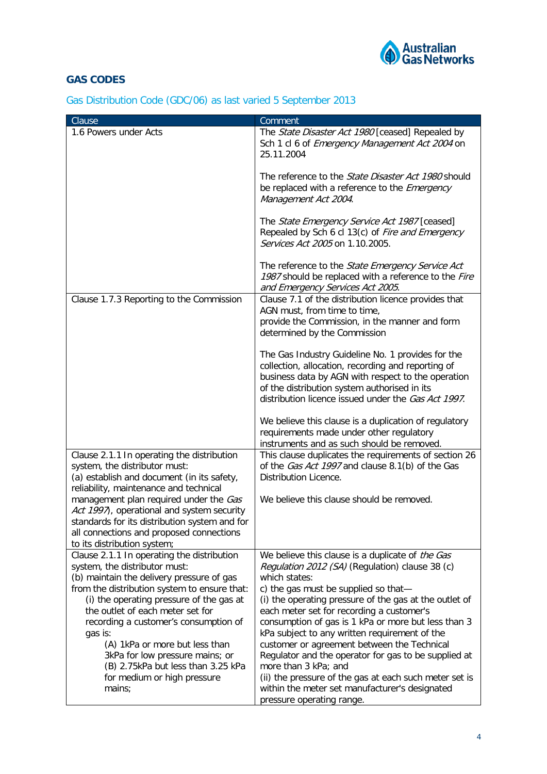

# **GAS CODES**

| Gas Distribution Code (GDC/06) as last varied 5 September 2013 |  |  |  |  |  |  |
|----------------------------------------------------------------|--|--|--|--|--|--|
|----------------------------------------------------------------|--|--|--|--|--|--|

| Clause                                                                                                                                                                            | Comment                                                                                                                                                                                                                                                              |
|-----------------------------------------------------------------------------------------------------------------------------------------------------------------------------------|----------------------------------------------------------------------------------------------------------------------------------------------------------------------------------------------------------------------------------------------------------------------|
| 1.6 Powers under Acts                                                                                                                                                             | The State Disaster Act 1980 [ceased] Repealed by<br>Sch 1 cl 6 of Emergency Management Act 2004 on<br>25.11.2004                                                                                                                                                     |
|                                                                                                                                                                                   | The reference to the <i>State Disaster Act 1980</i> should<br>be replaced with a reference to the <i>Emergency</i><br>Management Act 2004.                                                                                                                           |
|                                                                                                                                                                                   | The State Emergency Service Act 1987 [ceased]<br>Repealed by Sch 6 cl 13(c) of Fire and Emergency<br>Services Act 2005 on 1.10.2005.                                                                                                                                 |
|                                                                                                                                                                                   | The reference to the State Emergency Service Act<br>1987 should be replaced with a reference to the Fire<br>and Emergency Services Act 2005.                                                                                                                         |
| Clause 1.7.3 Reporting to the Commission                                                                                                                                          | Clause 7.1 of the distribution licence provides that<br>AGN must, from time to time,<br>provide the Commission, in the manner and form<br>determined by the Commission                                                                                               |
|                                                                                                                                                                                   | The Gas Industry Guideline No. 1 provides for the<br>collection, allocation, recording and reporting of<br>business data by AGN with respect to the operation<br>of the distribution system authorised in its<br>distribution licence issued under the Gas Act 1997. |
|                                                                                                                                                                                   | We believe this clause is a duplication of regulatory<br>requirements made under other regulatory<br>instruments and as such should be removed.                                                                                                                      |
| Clause 2.1.1 In operating the distribution<br>system, the distributor must:<br>(a) establish and document (in its safety,<br>reliability, maintenance and technical               | This clause duplicates the requirements of section 26<br>of the <i>Gas Act 1997</i> and clause 8.1(b) of the Gas<br>Distribution Licence.                                                                                                                            |
| management plan required under the Gas<br>Act 1997), operational and system security<br>standards for its distribution system and for<br>all connections and proposed connections | We believe this clause should be removed.                                                                                                                                                                                                                            |
| to its distribution system;                                                                                                                                                       |                                                                                                                                                                                                                                                                      |
| Clause 2.1.1 In operating the distribution                                                                                                                                        | We believe this clause is a duplicate of the Gas                                                                                                                                                                                                                     |
| system, the distributor must:<br>(b) maintain the delivery pressure of gas                                                                                                        | Regulation 2012 (SA) (Regulation) clause 38 (c)<br>which states:                                                                                                                                                                                                     |
| from the distribution system to ensure that:<br>(i) the operating pressure of the gas at<br>the outlet of each meter set for<br>recording a customer's consumption of             | c) the gas must be supplied so that-<br>(i) the operating pressure of the gas at the outlet of<br>each meter set for recording a customer's<br>consumption of gas is 1 kPa or more but less than 3                                                                   |
| gas is:<br>(A) 1kPa or more but less than                                                                                                                                         | kPa subject to any written requirement of the<br>customer or agreement between the Technical                                                                                                                                                                         |
| 3kPa for low pressure mains; or<br>(B) 2.75kPa but less than 3.25 kPa                                                                                                             | Regulator and the operator for gas to be supplied at<br>more than 3 kPa; and                                                                                                                                                                                         |
| for medium or high pressure                                                                                                                                                       | (ii) the pressure of the gas at each such meter set is                                                                                                                                                                                                               |
| mains;                                                                                                                                                                            | within the meter set manufacturer's designated<br>pressure operating range.                                                                                                                                                                                          |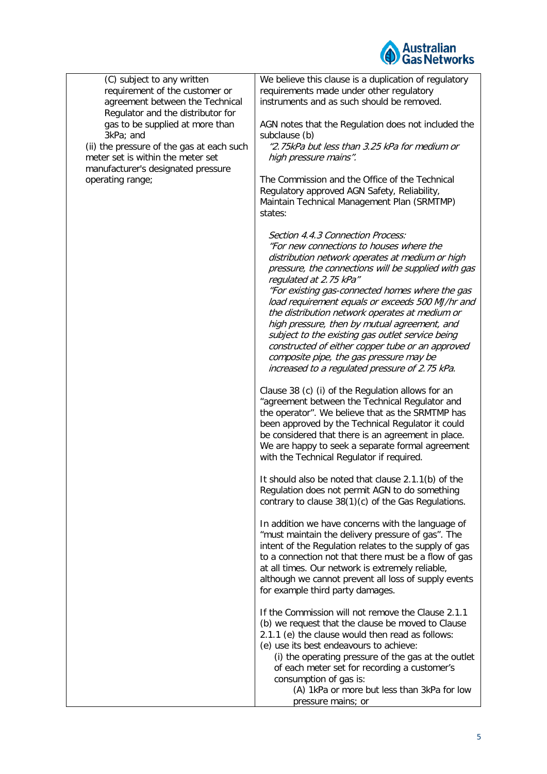

| (C) subject to any written<br>requirement of the customer or<br>agreement between the Technical<br>Regulator and the distributor for<br>gas to be supplied at more than<br>3kPa; and<br>(ii) the pressure of the gas at each such<br>meter set is within the meter set<br>manufacturer's designated pressure<br>operating range; | We believe this clause is a duplication of regulatory<br>requirements made under other regulatory<br>instruments and as such should be removed.<br>AGN notes that the Regulation does not included the<br>subclause (b)<br>"2.75kPa but less than 3.25 kPa for medium or<br>high pressure mains".<br>The Commission and the Office of the Technical                                                                                                                                                                                                                                                                             |
|----------------------------------------------------------------------------------------------------------------------------------------------------------------------------------------------------------------------------------------------------------------------------------------------------------------------------------|---------------------------------------------------------------------------------------------------------------------------------------------------------------------------------------------------------------------------------------------------------------------------------------------------------------------------------------------------------------------------------------------------------------------------------------------------------------------------------------------------------------------------------------------------------------------------------------------------------------------------------|
|                                                                                                                                                                                                                                                                                                                                  | Regulatory approved AGN Safety, Reliability,<br>Maintain Technical Management Plan (SRMTMP)<br>states:                                                                                                                                                                                                                                                                                                                                                                                                                                                                                                                          |
|                                                                                                                                                                                                                                                                                                                                  | Section 4.4.3 Connection Process:<br>"For new connections to houses where the<br>distribution network operates at medium or high<br>pressure, the connections will be supplied with gas<br>regulated at 2.75 kPa"<br>"For existing gas-connected homes where the gas<br>load requirement equals or exceeds 500 MJ/hr and<br>the distribution network operates at medium or<br>high pressure, then by mutual agreement, and<br>subject to the existing gas outlet service being<br>constructed of either copper tube or an approved<br>composite pipe, the gas pressure may be<br>increased to a regulated pressure of 2.75 kPa. |
|                                                                                                                                                                                                                                                                                                                                  | Clause 38 (c) (i) of the Regulation allows for an<br>"agreement between the Technical Regulator and<br>the operator". We believe that as the SRMTMP has<br>been approved by the Technical Regulator it could<br>be considered that there is an agreement in place.<br>We are happy to seek a separate formal agreement<br>with the Technical Regulator if required.                                                                                                                                                                                                                                                             |
|                                                                                                                                                                                                                                                                                                                                  | It should also be noted that clause 2.1.1(b) of the<br>Regulation does not permit AGN to do something<br>contrary to clause 38(1)(c) of the Gas Regulations.                                                                                                                                                                                                                                                                                                                                                                                                                                                                    |
|                                                                                                                                                                                                                                                                                                                                  | In addition we have concerns with the language of<br>"must maintain the delivery pressure of gas". The<br>intent of the Regulation relates to the supply of gas<br>to a connection not that there must be a flow of gas<br>at all times. Our network is extremely reliable,<br>although we cannot prevent all loss of supply events<br>for example third party damages.                                                                                                                                                                                                                                                         |
|                                                                                                                                                                                                                                                                                                                                  | If the Commission will not remove the Clause 2.1.1<br>(b) we request that the clause be moved to Clause<br>2.1.1 (e) the clause would then read as follows:<br>(e) use its best endeavours to achieve:<br>(i) the operating pressure of the gas at the outlet<br>of each meter set for recording a customer's<br>consumption of gas is:<br>(A) 1kPa or more but less than 3kPa for low<br>pressure mains; or                                                                                                                                                                                                                    |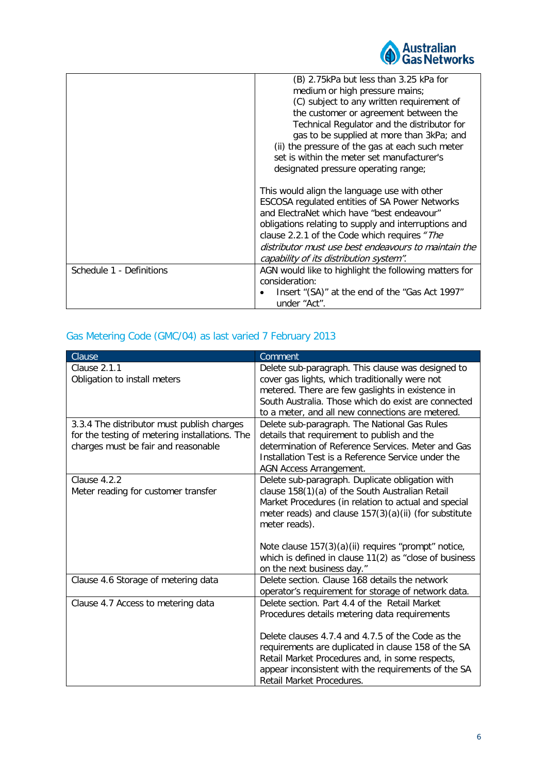

|                          | (B) 2.75kPa but less than 3.25 kPa for                |
|--------------------------|-------------------------------------------------------|
|                          | medium or high pressure mains;                        |
|                          | (C) subject to any written requirement of             |
|                          | the customer or agreement between the                 |
|                          | Technical Regulator and the distributor for           |
|                          | gas to be supplied at more than 3kPa; and             |
|                          | (ii) the pressure of the gas at each such meter       |
|                          | set is within the meter set manufacturer's            |
|                          | designated pressure operating range;                  |
|                          | This would align the language use with other          |
|                          | <b>ESCOSA regulated entities of SA Power Networks</b> |
|                          | and ElectraNet which have "best endeavour"            |
|                          | obligations relating to supply and interruptions and  |
|                          | clause 2.2.1 of the Code which requires "The          |
|                          | distributor must use best endeavours to maintain the  |
|                          | capability of its distribution system".               |
| Schedule 1 - Definitions | AGN would like to highlight the following matters for |
|                          | consideration:                                        |
|                          | Insert "(SA)" at the end of the "Gas Act 1997"        |
|                          | under "Act".                                          |

## Gas Metering Code (GMC/04) as last varied 7 February 2013

| Clause                                         | Comment                                                |
|------------------------------------------------|--------------------------------------------------------|
| <b>Clause 2.1.1</b>                            | Delete sub-paragraph. This clause was designed to      |
| Obligation to install meters                   | cover gas lights, which traditionally were not         |
|                                                | metered. There are few gaslights in existence in       |
|                                                | South Australia. Those which do exist are connected    |
|                                                | to a meter, and all new connections are metered.       |
| 3.3.4 The distributor must publish charges     | Delete sub-paragraph. The National Gas Rules           |
| for the testing of metering installations. The | details that requirement to publish and the            |
| charges must be fair and reasonable            | determination of Reference Services. Meter and Gas     |
|                                                | Installation Test is a Reference Service under the     |
|                                                | <b>AGN Access Arrangement.</b>                         |
| Clause 4.2.2                                   | Delete sub-paragraph. Duplicate obligation with        |
| Meter reading for customer transfer            | clause 158(1)(a) of the South Australian Retail        |
|                                                | Market Procedures (in relation to actual and special   |
|                                                | meter reads) and clause 157(3)(a)(ii) (for substitute  |
|                                                | meter reads).                                          |
|                                                |                                                        |
|                                                | Note clause 157(3)(a)(ii) requires "prompt" notice,    |
|                                                | which is defined in clause 11(2) as "close of business |
|                                                | on the next business day."                             |
| Clause 4.6 Storage of metering data            | Delete section. Clause 168 details the network         |
|                                                | operator's requirement for storage of network data.    |
| Clause 4.7 Access to metering data             | Delete section, Part 4.4 of the Retail Market          |
|                                                | Procedures details metering data requirements          |
|                                                |                                                        |
|                                                | Delete clauses 4.7.4 and 4.7.5 of the Code as the      |
|                                                | requirements are duplicated in clause 158 of the SA    |
|                                                | Retail Market Procedures and, in some respects,        |
|                                                | appear inconsistent with the requirements of the SA    |
|                                                | Retail Market Procedures.                              |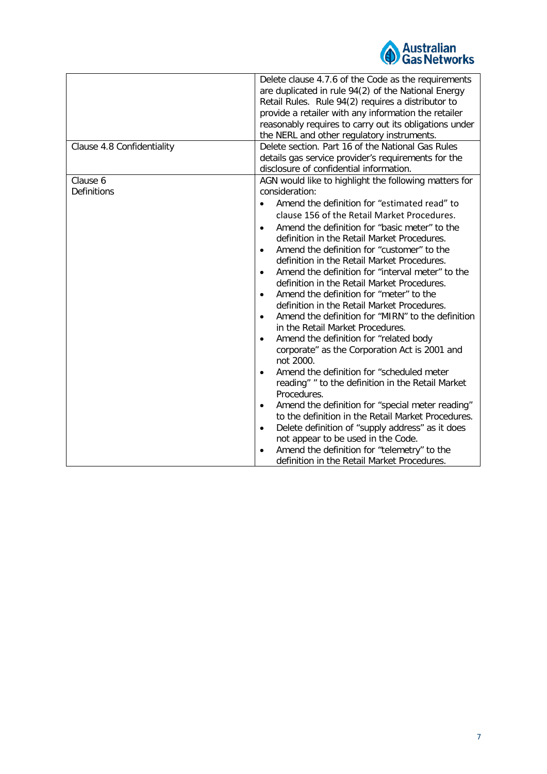

| Clause 4.8 Confidentiality | Delete clause 4.7.6 of the Code as the requirements<br>are duplicated in rule 94(2) of the National Energy<br>Retail Rules. Rule 94(2) requires a distributor to<br>provide a retailer with any information the retailer<br>reasonably requires to carry out its obligations under<br>the NERL and other regulatory instruments.<br>Delete section. Part 16 of the National Gas Rules                                                                                                                                                                                                                                                                                                                                                                                                                                                                                                                                                                                                                                                                                                                                                                                                                       |
|----------------------------|-------------------------------------------------------------------------------------------------------------------------------------------------------------------------------------------------------------------------------------------------------------------------------------------------------------------------------------------------------------------------------------------------------------------------------------------------------------------------------------------------------------------------------------------------------------------------------------------------------------------------------------------------------------------------------------------------------------------------------------------------------------------------------------------------------------------------------------------------------------------------------------------------------------------------------------------------------------------------------------------------------------------------------------------------------------------------------------------------------------------------------------------------------------------------------------------------------------|
|                            | details gas service provider's requirements for the<br>disclosure of confidential information.                                                                                                                                                                                                                                                                                                                                                                                                                                                                                                                                                                                                                                                                                                                                                                                                                                                                                                                                                                                                                                                                                                              |
| Clause 6<br>Definitions    | AGN would like to highlight the following matters for<br>consideration:<br>Amend the definition for "estimated read" to<br>clause 156 of the Retail Market Procedures.<br>Amend the definition for "basic meter" to the<br>$\bullet$<br>definition in the Retail Market Procedures.<br>Amend the definition for "customer" to the<br>$\bullet$<br>definition in the Retail Market Procedures.<br>Amend the definition for "interval meter" to the<br>$\bullet$<br>definition in the Retail Market Procedures.<br>Amend the definition for "meter" to the<br>$\bullet$<br>definition in the Retail Market Procedures.<br>Amend the definition for "MIRN" to the definition<br>$\bullet$<br>in the Retail Market Procedures.<br>Amend the definition for "related body<br>$\bullet$<br>corporate" as the Corporation Act is 2001 and<br>not 2000.<br>Amend the definition for "scheduled meter<br>$\bullet$<br>reading" " to the definition in the Retail Market<br>Procedures.<br>Amend the definition for "special meter reading"<br>$\bullet$<br>to the definition in the Retail Market Procedures.<br>Delete definition of "supply address" as it does<br>$\bullet$<br>not appear to be used in the Code. |
|                            | Amend the definition for "telemetry" to the<br>definition in the Retail Market Procedures.                                                                                                                                                                                                                                                                                                                                                                                                                                                                                                                                                                                                                                                                                                                                                                                                                                                                                                                                                                                                                                                                                                                  |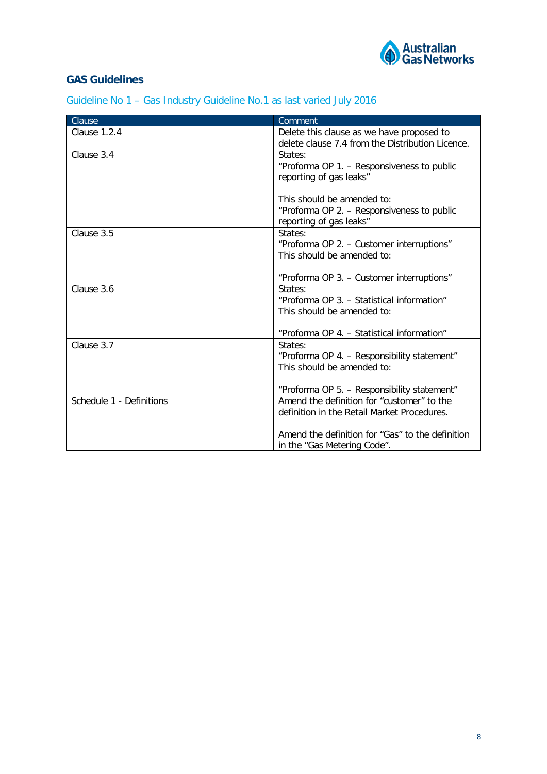

# **GAS Guidelines**

Guideline No 1 – Gas Industry Guideline No.1 as last varied July 2016

| Clause                   | Comment                                               |
|--------------------------|-------------------------------------------------------|
| Clause 1.2.4             | Delete this clause as we have proposed to             |
|                          | delete clause 7.4 from the Distribution Licence.      |
| Clause 3.4               | States:                                               |
|                          | "Proforma OP 1. - Responsiveness to public            |
|                          | reporting of gas leaks"                               |
|                          |                                                       |
|                          | This should be amended to:                            |
|                          | "Proforma OP 2. - Responsiveness to public            |
|                          | reporting of gas leaks"                               |
| Clause 3.5               | States:                                               |
|                          | "Proforma OP 2. - Customer interruptions"             |
|                          | This should be amended to:                            |
|                          |                                                       |
|                          | "Proforma OP 3. - Customer interruptions"             |
| Clause 3.6               | States:<br>"Proforma OP 3. - Statistical information" |
|                          | This should be amended to:                            |
|                          |                                                       |
|                          | "Proforma OP 4. - Statistical information"            |
| Clause 3.7               | States:                                               |
|                          | "Proforma OP 4. - Responsibility statement"           |
|                          | This should be amended to:                            |
|                          |                                                       |
|                          | "Proforma OP 5. - Responsibility statement"           |
| Schedule 1 - Definitions | Amend the definition for "customer" to the            |
|                          | definition in the Retail Market Procedures.           |
|                          |                                                       |
|                          | Amend the definition for "Gas" to the definition      |
|                          | in the "Gas Metering Code".                           |